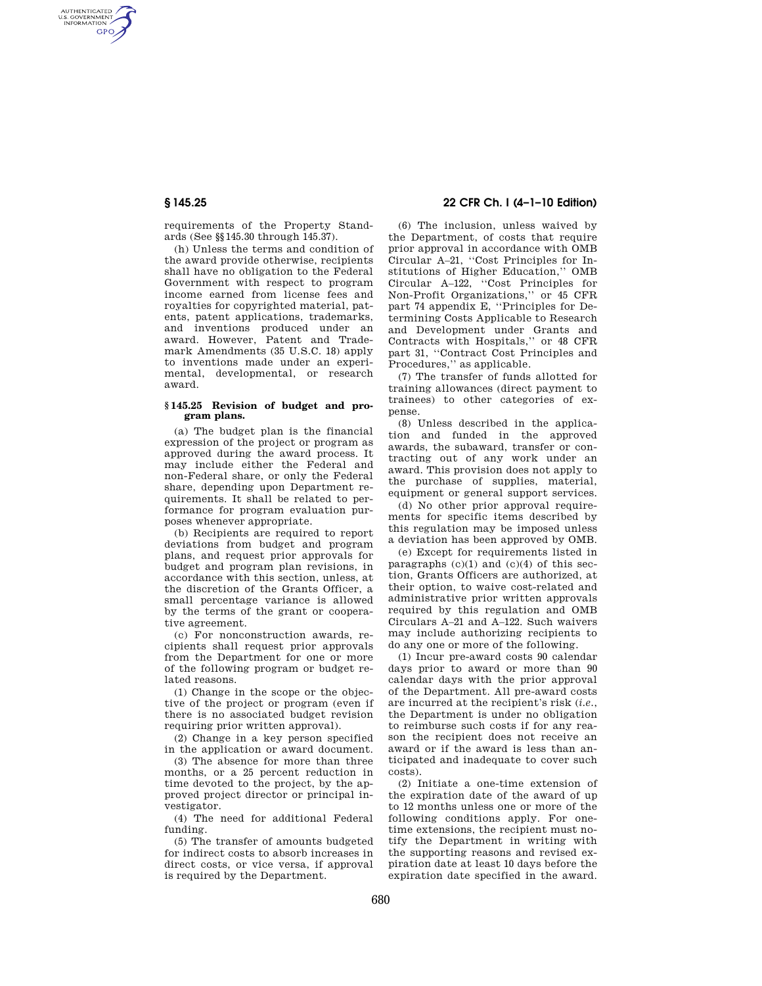AUTHENTICATED<br>U.S. GOVERNMENT<br>INFORMATION **GPO** 

> requirements of the Property Standards (See §§145.30 through 145.37).

> (h) Unless the terms and condition of the award provide otherwise, recipients shall have no obligation to the Federal Government with respect to program income earned from license fees and royalties for copyrighted material, patents, patent applications, trademarks, and inventions produced under an award. However, Patent and Trademark Amendments (35 U.S.C. 18) apply to inventions made under an experimental, developmental, or research award.

## **§ 145.25 Revision of budget and program plans.**

(a) The budget plan is the financial expression of the project or program as approved during the award process. It may include either the Federal and non-Federal share, or only the Federal share, depending upon Department requirements. It shall be related to performance for program evaluation purposes whenever appropriate.

(b) Recipients are required to report deviations from budget and program plans, and request prior approvals for budget and program plan revisions, in accordance with this section, unless, at the discretion of the Grants Officer, a small percentage variance is allowed by the terms of the grant or cooperative agreement.

(c) For nonconstruction awards, recipients shall request prior approvals from the Department for one or more of the following program or budget related reasons.

(1) Change in the scope or the objective of the project or program (even if there is no associated budget revision requiring prior written approval).

(2) Change in a key person specified in the application or award document.

(3) The absence for more than three months, or a 25 percent reduction in time devoted to the project, by the approved project director or principal investigator.

(4) The need for additional Federal funding.

(5) The transfer of amounts budgeted for indirect costs to absorb increases in direct costs, or vice versa, if approval is required by the Department.

# **§ 145.25 22 CFR Ch. I (4–1–10 Edition)**

(6) The inclusion, unless waived by the Department, of costs that require prior approval in accordance with OMB Circular A–21, ''Cost Principles for Institutions of Higher Education,'' OMB Circular A–122, ''Cost Principles for Non-Profit Organizations,'' or 45 CFR part 74 appendix E, ''Principles for Determining Costs Applicable to Research and Development under Grants and Contracts with Hospitals,'' or 48 CFR part 31, ''Contract Cost Principles and Procedures,'' as applicable.

(7) The transfer of funds allotted for training allowances (direct payment to trainees) to other categories of expense.

(8) Unless described in the application and funded in the approved awards, the subaward, transfer or contracting out of any work under an award. This provision does not apply to the purchase of supplies, material, equipment or general support services.

(d) No other prior approval requirements for specific items described by this regulation may be imposed unless a deviation has been approved by OMB.

(e) Except for requirements listed in paragraphs  $(c)(1)$  and  $(c)(4)$  of this section, Grants Officers are authorized, at their option, to waive cost-related and administrative prior written approvals required by this regulation and OMB Circulars A–21 and A–122. Such waivers may include authorizing recipients to do any one or more of the following.

(1) Incur pre-award costs 90 calendar days prior to award or more than 90 calendar days with the prior approval of the Department. All pre-award costs are incurred at the recipient's risk (*i.e.*, the Department is under no obligation to reimburse such costs if for any reason the recipient does not receive an award or if the award is less than anticipated and inadequate to cover such costs).

(2) Initiate a one-time extension of the expiration date of the award of up to 12 months unless one or more of the following conditions apply. For onetime extensions, the recipient must notify the Department in writing with the supporting reasons and revised expiration date at least 10 days before the expiration date specified in the award.